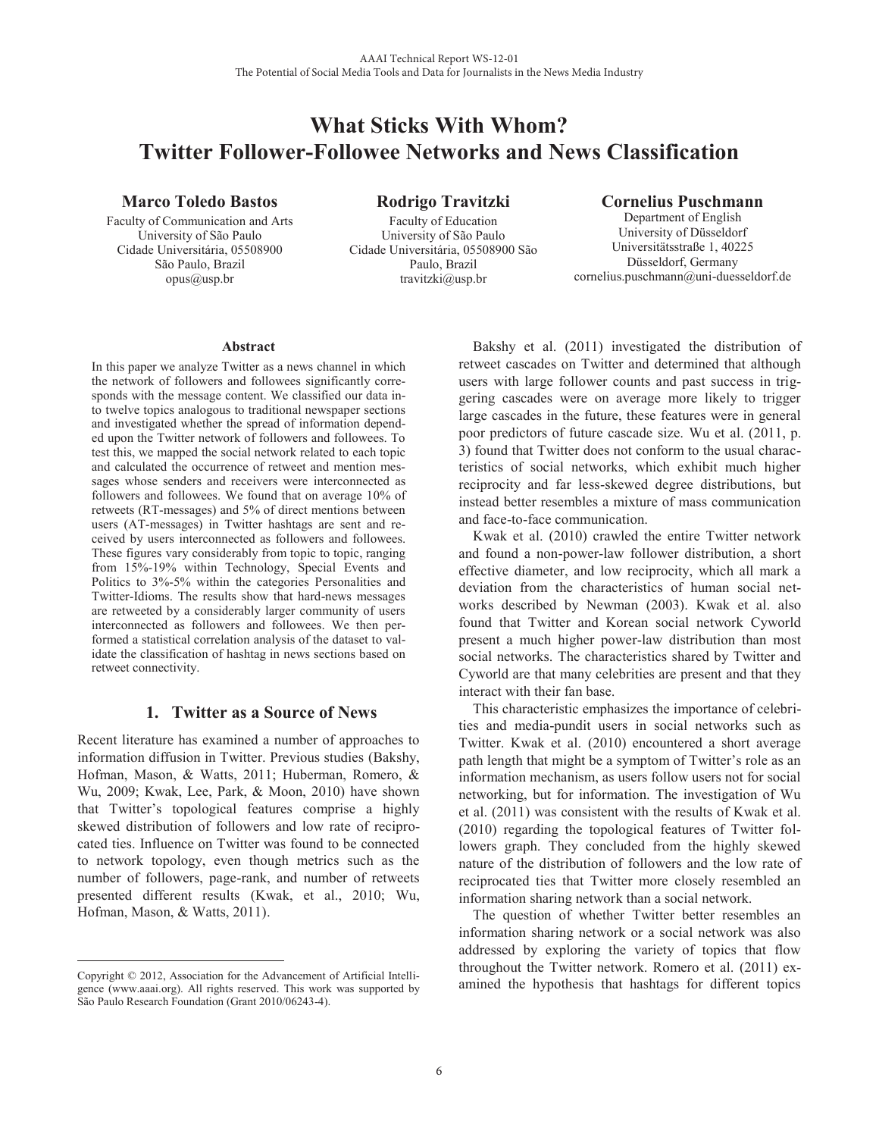# **What Sticks With Whom? Twitter Follower-Followee Networks and News Classification**

# **Marco Toledo Bastos**

Faculty of Communication and Arts University of São Paulo Cidade Universitária, 05508900 São Paulo, Brazil  $opus@$ usp.br

**Rodrigo Travitzki**

Faculty of Education University of São Paulo Cidade Universitária, 05508900 São Paulo, Brazil travitzki@usp.br

# **Cornelius Puschmann**

Department of English University of Düsseldorf Universitätsstraße 1, 40225 Düsseldorf, Germany cornelius.puschmann@uni-duesseldorf.de

#### **Abstract**

In this paper we analyze Twitter as a news channel in which the network of followers and followees significantly corresponds with the message content. We classified our data into twelve topics analogous to traditional newspaper sections and investigated whether the spread of information depended upon the Twitter network of followers and followees. To test this, we mapped the social network related to each topic and calculated the occurrence of retweet and mention messages whose senders and receivers were interconnected as followers and followees. We found that on average 10% of retweets (RT-messages) and 5% of direct mentions between users (AT-messages) in Twitter hashtags are sent and received by users interconnected as followers and followees. These figures vary considerably from topic to topic, ranging from 15%-19% within Technology, Special Events and Politics to 3%-5% within the categories Personalities and Twitter-Idioms. The results show that hard-news messages are retweeted by a considerably larger community of users interconnected as followers and followees. We then performed a statistical correlation analysis of the dataset to validate the classification of hashtag in news sections based on retweet connectivity.

# **1. Twitter as a Source of News**

Recent literature has examined a number of approaches to information diffusion in Twitter. Previous studies (Bakshy, Hofman, Mason, & Watts, 2011; Huberman, Romero, & Wu, 2009; Kwak, Lee, Park, & Moon, 2010) have shown that Twitter's topological features comprise a highly skewed distribution of followers and low rate of reciprocated ties. Influence on Twitter was found to be connected to network topology, even though metrics such as the number of followers, page-rank, and number of retweets presented different results (Kwak, et al., 2010; Wu, Hofman, Mason, & Watts, 2011).

 Bakshy et al. (2011) investigated the distribution of retweet cascades on Twitter and determined that although users with large follower counts and past success in triggering cascades were on average more likely to trigger large cascades in the future, these features were in general poor predictors of future cascade size. Wu et al. (2011, p. 3) found that Twitter does not conform to the usual characteristics of social networks, which exhibit much higher reciprocity and far less-skewed degree distributions, but instead better resembles a mixture of mass communication and face-to-face communication.

 Kwak et al. (2010) crawled the entire Twitter network and found a non-power-law follower distribution, a short effective diameter, and low reciprocity, which all mark a deviation from the characteristics of human social networks described by Newman (2003). Kwak et al. also found that Twitter and Korean social network Cyworld present a much higher power-law distribution than most social networks. The characteristics shared by Twitter and Cyworld are that many celebrities are present and that they interact with their fan base.

 This characteristic emphasizes the importance of celebrities and media-pundit users in social networks such as Twitter. Kwak et al. (2010) encountered a short average path length that might be a symptom of Twitter's role as an information mechanism, as users follow users not for social networking, but for information. The investigation of Wu et al. (2011) was consistent with the results of Kwak et al. (2010) regarding the topological features of Twitter followers graph. They concluded from the highly skewed nature of the distribution of followers and the low rate of reciprocated ties that Twitter more closely resembled an information sharing network than a social network.

 The question of whether Twitter better resembles an information sharing network or a social network was also addressed by exploring the variety of topics that flow throughout the Twitter network. Romero et al. (2011) examined the hypothesis that hashtags for different topics

 $\overline{a}$ Copyright © 2012, Association for the Advancement of Artificial Intelligence (www.aaai.org). All rights reserved. This work was supported by São Paulo Research Foundation (Grant 2010/06243-4).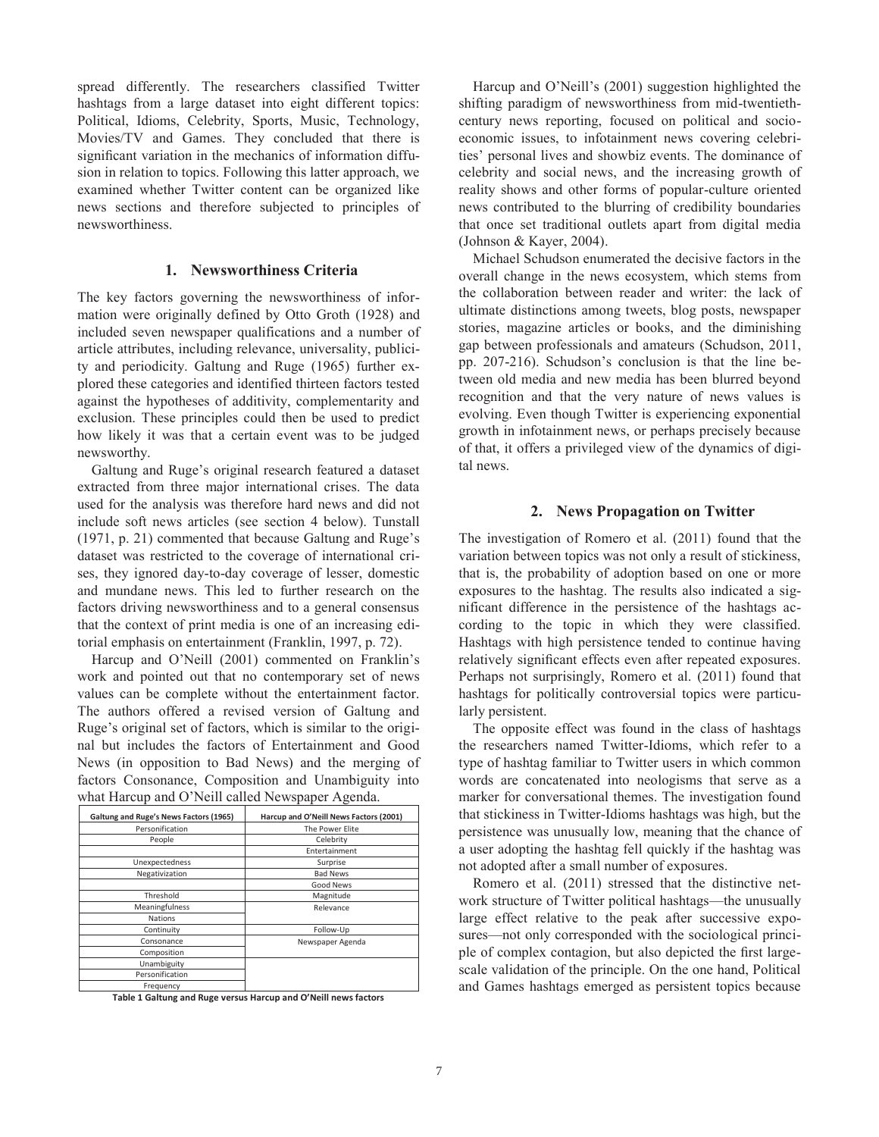spread differently. The researchers classified Twitter hashtags from a large dataset into eight different topics: Political, Idioms, Celebrity, Sports, Music, Technology, Movies/TV and Games. They concluded that there is significant variation in the mechanics of information diffusion in relation to topics. Following this latter approach, we examined whether Twitter content can be organized like news sections and therefore subjected to principles of newsworthiness.

#### **1. Newsworthiness Criteria**

The key factors governing the newsworthiness of information were originally defined by Otto Groth (1928) and included seven newspaper qualifications and a number of article attributes, including relevance, universality, publicity and periodicity. Galtung and Ruge (1965) further explored these categories and identified thirteen factors tested against the hypotheses of additivity, complementarity and exclusion. These principles could then be used to predict how likely it was that a certain event was to be judged newsworthy.

Galtung and Ruge's original research featured a dataset extracted from three major international crises. The data used for the analysis was therefore hard news and did not include soft news articles (see section 4 below). Tunstall (1971, p. 21) commented that because Galtung and Ruge's dataset was restricted to the coverage of international crises, they ignored day-to-day coverage of lesser, domestic and mundane news. This led to further research on the factors driving newsworthiness and to a general consensus that the context of print media is one of an increasing editorial emphasis on entertainment (Franklin, 1997, p. 72).

Harcup and O'Neill (2001) commented on Franklin's work and pointed out that no contemporary set of news values can be complete without the entertainment factor. The authors offered a revised version of Galtung and Ruge's original set of factors, which is similar to the original but includes the factors of Entertainment and Good News (in opposition to Bad News) and the merging of factors Consonance, Composition and Unambiguity into what Harcup and O'Neill called Newspaper Agenda.

| Galtung and Ruge's News Factors (1965) | Harcup and O'Neill News Factors (2001) |  |  |
|----------------------------------------|----------------------------------------|--|--|
| Personification                        | The Power Elite                        |  |  |
| People                                 | Celebrity                              |  |  |
|                                        | Entertainment                          |  |  |
| Unexpectedness                         | Surprise                               |  |  |
| Negativization                         | <b>Bad News</b>                        |  |  |
|                                        | Good News                              |  |  |
| Threshold                              | Magnitude                              |  |  |
| Meaningfulness                         | Relevance                              |  |  |
| <b>Nations</b>                         |                                        |  |  |
| Continuity                             | Follow-Up                              |  |  |
| Consonance                             | Newspaper Agenda                       |  |  |
| Composition                            |                                        |  |  |
| Unambiguity                            |                                        |  |  |
| Personification                        |                                        |  |  |
| Frequency                              |                                        |  |  |

**Table 1 Galtung and Ruge versus Harcup and O'Neill news factors** 

Harcup and O'Neill's (2001) suggestion highlighted the shifting paradigm of newsworthiness from mid-twentiethcentury news reporting, focused on political and socioeconomic issues, to infotainment news covering celebrities' personal lives and showbiz events. The dominance of celebrity and social news, and the increasing growth of reality shows and other forms of popular-culture oriented news contributed to the blurring of credibility boundaries that once set traditional outlets apart from digital media (Johnson & Kayer, 2004).

 Michael Schudson enumerated the decisive factors in the overall change in the news ecosystem, which stems from the collaboration between reader and writer: the lack of ultimate distinctions among tweets, blog posts, newspaper stories, magazine articles or books, and the diminishing gap between professionals and amateurs (Schudson, 2011, pp. 207-216). Schudson's conclusion is that the line between old media and new media has been blurred beyond recognition and that the very nature of news values is evolving. Even though Twitter is experiencing exponential growth in infotainment news, or perhaps precisely because of that, it offers a privileged view of the dynamics of digital news.

#### **2. News Propagation on Twitter**

The investigation of Romero et al. (2011) found that the variation between topics was not only a result of stickiness, that is, the probability of adoption based on one or more exposures to the hashtag. The results also indicated a significant difference in the persistence of the hashtags according to the topic in which they were classified. Hashtags with high persistence tended to continue having relatively significant effects even after repeated exposures. Perhaps not surprisingly, Romero et al. (2011) found that hashtags for politically controversial topics were particularly persistent.

 The opposite effect was found in the class of hashtags the researchers named Twitter-Idioms, which refer to a type of hashtag familiar to Twitter users in which common words are concatenated into neologisms that serve as a marker for conversational themes. The investigation found that stickiness in Twitter-Idioms hashtags was high, but the persistence was unusually low, meaning that the chance of a user adopting the hashtag fell quickly if the hashtag was not adopted after a small number of exposures.

 Romero et al. (2011) stressed that the distinctive network structure of Twitter political hashtags—the unusually large effect relative to the peak after successive exposures—not only corresponded with the sociological principle of complex contagion, but also depicted the first largescale validation of the principle. On the one hand, Political and Games hashtags emerged as persistent topics because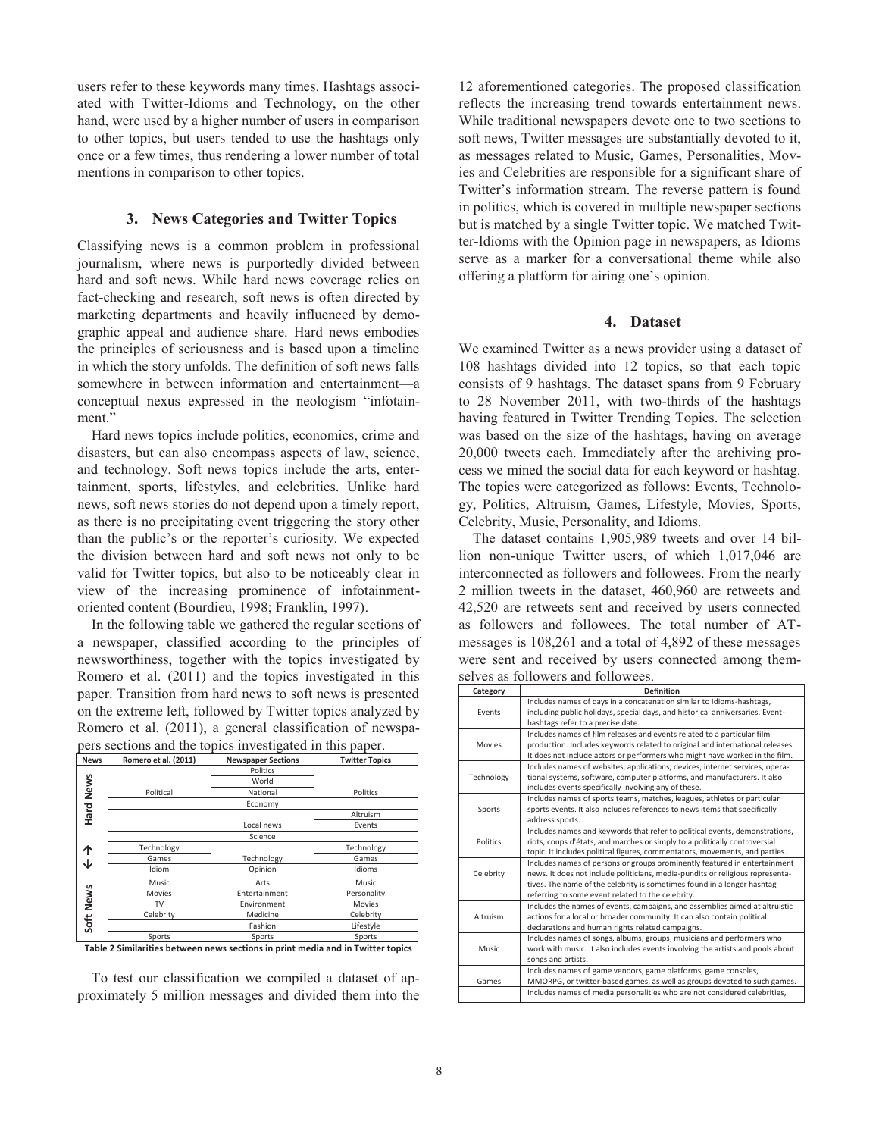users refer to these keywords many times. Hashtags associated with Twitter-Idioms and Technology, on the other hand, were used by a higher number of users in comparison to other topics, but users tended to use the hashtags only once or a few times, thus rendering a lower number of total mentions in comparison to other topics.

#### **3. News Categories and Twitter Topics**

Classifying news is a common problem in professional journalism, where news is purportedly divided between hard and soft news. While hard news coverage relies on fact-checking and research, soft news is often directed by marketing departments and heavily influenced by demographic appeal and audience share. Hard news embodies the principles of seriousness and is based upon a timeline in which the story unfolds. The definition of soft news falls somewhere in between information and entertainment—a conceptual nexus expressed in the neologism "infotainment."

 Hard news topics include politics, economics, crime and disasters, but can also encompass aspects of law, science, and technology. Soft news topics include the arts, entertainment, sports, lifestyles, and celebrities. Unlike hard news, soft news stories do not depend upon a timely report, as there is no precipitating event triggering the story other than the public's or the reporter's curiosity. We expected the division between hard and soft news not only to be valid for Twitter topics, but also to be noticeably clear in view of the increasing prominence of infotainmentoriented content (Bourdieu, 1998; Franklin, 1997).

 In the following table we gathered the regular sections of a newspaper, classified according to the principles of newsworthiness, together with the topics investigated by Romero et al. (2011) and the topics investigated in this paper. Transition from hard news to soft news is presented on the extreme left, followed by Twitter topics analyzed by Romero et al. (2011), a general classification of newspapers sections and the topics investigated in this paper.

| <b>News</b> | Romero et al. (2011) | - 7<br><b>Newspaper Sections</b> | <b>Twitter Topics</b>                                                     |  |  |
|-------------|----------------------|----------------------------------|---------------------------------------------------------------------------|--|--|
|             |                      | Politics                         |                                                                           |  |  |
|             |                      | World                            |                                                                           |  |  |
|             | Political            | National                         | Politics<br>Altruism<br>Events<br>Technology<br>Games                     |  |  |
| Hard News   |                      | Economy                          |                                                                           |  |  |
|             |                      |                                  |                                                                           |  |  |
|             |                      | Local news                       | Idioms<br>Music<br>Personality<br><b>Movies</b><br>Celebrity<br>Lifestyle |  |  |
|             |                      | Science                          |                                                                           |  |  |
| ኅ           | Technology           |                                  |                                                                           |  |  |
| ◡           | Games                | Technology                       |                                                                           |  |  |
|             | Idiom                | Opinion                          |                                                                           |  |  |
|             | Music                | Arts                             |                                                                           |  |  |
|             | Movies               | Entertainment                    |                                                                           |  |  |
|             | TV                   | Environment                      |                                                                           |  |  |
|             | Celebrity            | Medicine                         |                                                                           |  |  |
| Soft News   |                      | Fashion                          |                                                                           |  |  |
|             | Sports               | Sports                           | Sports                                                                    |  |  |

**Table 2 Similarities between news sections in print media and in Twitter topics** 

 To test our classification we compiled a dataset of approximately 5 million messages and divided them into the

12 aforementioned categories. The proposed classification reflects the increasing trend towards entertainment news. While traditional newspapers devote one to two sections to soft news, Twitter messages are substantially devoted to it, as messages related to Music, Games, Personalities, Movies and Celebrities are responsible for a significant share of Twitter's information stream. The reverse pattern is found in politics, which is covered in multiple newspaper sections but is matched by a single Twitter topic. We matched Twitter-Idioms with the Opinion page in newspapers, as Idioms serve as a marker for a conversational theme while also offering a platform for airing one's opinion.

## **4. Dataset**

We examined Twitter as a news provider using a dataset of 108 hashtags divided into 12 topics, so that each topic consists of 9 hashtags. The dataset spans from 9 February to 28 November 2011, with two-thirds of the hashtags having featured in Twitter Trending Topics. The selection was based on the size of the hashtags, having on average 20,000 tweets each. Immediately after the archiving process we mined the social data for each keyword or hashtag. The topics were categorized as follows: Events, Technology, Politics, Altruism, Games, Lifestyle, Movies, Sports, Celebrity, Music, Personality, and Idioms.

 The dataset contains 1,905,989 tweets and over 14 billion non-unique Twitter users, of which 1,017,046 are interconnected as followers and followees. From the nearly 2 million tweets in the dataset, 460,960 are retweets and 42,520 are retweets sent and received by users connected as followers and followees. The total number of ATmessages is 108,261 and a total of 4,892 of these messages were sent and received by users connected among themselves as followers and followees.

|            | $\frac{1}{2}$ . The state is the state of $\frac{1}{2}$                        |
|------------|--------------------------------------------------------------------------------|
| Category   | <b>Definition</b>                                                              |
|            | Includes names of days in a concatenation similar to Idioms-hashtags,          |
| Events     | including public holidays, special days, and historical anniversaries. Event-  |
|            | hashtags refer to a precise date.                                              |
|            | Includes names of film releases and events related to a particular film        |
| Movies     | production. Includes keywords related to original and international releases.  |
|            | It does not include actors or performers who might have worked in the film.    |
|            | Includes names of websites, applications, devices, internet services, opera-   |
| Technology | tional systems, software, computer platforms, and manufacturers. It also       |
|            | includes events specifically involving any of these.                           |
|            | Includes names of sports teams, matches, leagues, athletes or particular       |
| Sports     | sports events. It also includes references to news items that specifically     |
|            | address sports.                                                                |
|            | Includes names and keywords that refer to political events, demonstrations,    |
| Politics   | riots, coups d'états, and marches or simply to a politically controversial     |
|            | topic. It includes political figures, commentators, movements, and parties.    |
|            | Includes names of persons or groups prominently featured in entertainment      |
| Celebrity  | news. It does not include politicians, media-pundits or religious representa-  |
|            | tives. The name of the celebrity is sometimes found in a longer hashtag        |
|            | referring to some event related to the celebrity.                              |
|            | Includes the names of events, campaigns, and assemblies aimed at altruistic    |
| Altruism   | actions for a local or broader community. It can also contain political        |
|            | declarations and human rights related campaigns.                               |
|            | Includes names of songs, albums, groups, musicians and performers who          |
| Music      | work with music. It also includes events involving the artists and pools about |
|            | songs and artists.                                                             |
|            | Includes names of game vendors, game platforms, game consoles,                 |
| Games      | MMORPG, or twitter-based games, as well as groups devoted to such games.       |
|            | Includes names of media personalities who are not considered celebrities,      |
|            |                                                                                |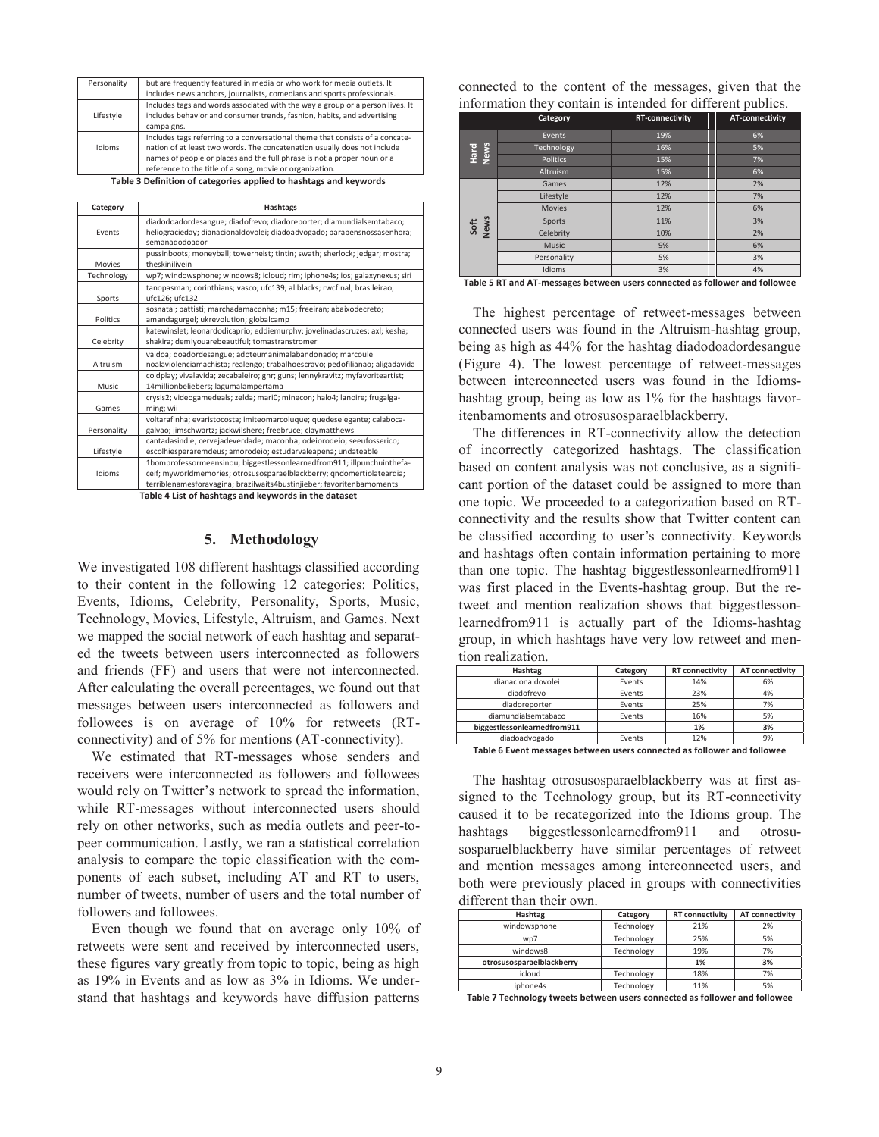| Personality | but are frequently featured in media or who work for media outlets. It                                                                                                                                                                                                                           |
|-------------|--------------------------------------------------------------------------------------------------------------------------------------------------------------------------------------------------------------------------------------------------------------------------------------------------|
|             | includes news anchors, journalists, comedians and sports professionals.                                                                                                                                                                                                                          |
| Lifestyle   | Includes tags and words associated with the way a group or a person lives. It<br>includes behavior and consumer trends, fashion, habits, and advertising<br>campaigns.                                                                                                                           |
| Idioms      | Includes tags referring to a conversational theme that consists of a concate-<br>nation of at least two words. The concatenation usually does not include<br>names of people or places and the full phrase is not a proper noun or a<br>reference to the title of a song, movie or organization. |

**Table 3 Definition of categories applied to hashtags and keywords** 

| Category    | <b>Hashtags</b>                                                                            |
|-------------|--------------------------------------------------------------------------------------------|
|             |                                                                                            |
|             | diadodoadordesangue; diadofrevo; diadoreporter; diamundialsemtabaco;                       |
| Events      | heliogracieday; dianacionaldovolei; diadoadvogado; parabensnossasenhora;<br>semanadodoador |
|             |                                                                                            |
|             | pussinboots; moneyball; towerheist; tintin; swath; sherlock; jedgar; mostra;               |
| Movies      | theskinilivein                                                                             |
| Technology  | wp7; windowsphone; windows8; icloud; rim; iphone4s; ios; galaxynexus; siri                 |
|             | tanopasman; corinthians; vasco; ufc139; allblacks; rwcfinal; brasileirao;                  |
| Sports      | ufc126; ufc132                                                                             |
|             | sosnatal; battisti; marchadamaconha; m15; freeiran; abaixodecreto;                         |
| Politics    | amandagurgel; ukrevolution; globalcamp                                                     |
|             | katewinslet; leonardodicaprio; eddiemurphy; jovelinadascruzes; axl; kesha;                 |
| Celebrity   | shakira; demiyouarebeautiful; tomastranstromer                                             |
|             | vaidoa; doadordesangue; adoteumanimalabandonado; marcoule                                  |
| Altruism    | noalaviolenciamachista; realengo; trabalhoescravo; pedofilianao; aligadavida               |
|             | coldplay; vivalavida; zecabaleiro; gnr; guns; lennykravitz; myfavoriteartist;              |
| Music       | 14millionbeliebers; lagumalampertama                                                       |
|             | crysis2; videogamedeals; zelda; mari0; minecon; halo4; lanoire; frugalga-                  |
| Games       | ming; wii                                                                                  |
|             | voltarafinha; evaristocosta; imiteomarcoluque; quedeselegante; calaboca-                   |
| Personality | galvao; jimschwartz; jackwilshere; freebruce; claymatthews                                 |
|             | cantadasindie; cervejadeverdade; maconha; odeiorodeio; seeufosserico;                      |
| Lifestyle   | escolhiesperaremdeus; amorodeio; estudarvaleapena; undateable                              |
|             | 1bomprofessormeensinou; biggestlessonlearnedfrom911; illpunchuinthefa-                     |
| Idioms      | ceif; myworldmemories; otrosusosparaelblackberry; gndomertiolateardia;                     |
|             | terriblenamesforavagina; brazilwaits4bustinjieber; favoritenbamoments                      |

**Table 4 List of hashtags and keywords in the dataset** 

#### **5. Methodology**

We investigated 108 different hashtags classified according to their content in the following 12 categories: Politics, Events, Idioms, Celebrity, Personality, Sports, Music, Technology, Movies, Lifestyle, Altruism, and Games. Next we mapped the social network of each hashtag and separated the tweets between users interconnected as followers and friends (FF) and users that were not interconnected. After calculating the overall percentages, we found out that messages between users interconnected as followers and followees is on average of 10% for retweets (RTconnectivity) and of 5% for mentions (AT-connectivity).

 We estimated that RT-messages whose senders and receivers were interconnected as followers and followees would rely on Twitter's network to spread the information, while RT-messages without interconnected users should rely on other networks, such as media outlets and peer-topeer communication. Lastly, we ran a statistical correlation analysis to compare the topic classification with the components of each subset, including AT and RT to users, number of tweets, number of users and the total number of followers and followees.

 Even though we found that on average only 10% of retweets were sent and received by interconnected users, these figures vary greatly from topic to topic, being as high as 19% in Events and as low as 3% in Idioms. We understand that hashtags and keywords have diffusion patterns

| connected to the content of the messages, given that the    |  |  |  |
|-------------------------------------------------------------|--|--|--|
| information they contain is intended for different publics. |  |  |  |

|                                                                             | Category        | <b>RT-connectivity</b> | <b>AT-connectivity</b> |  |  |
|-----------------------------------------------------------------------------|-----------------|------------------------|------------------------|--|--|
|                                                                             | Events          | 19%                    | 6%                     |  |  |
| Hard<br>News                                                                | Technology      | 16%                    | 5%                     |  |  |
|                                                                             | <b>Politics</b> | 15%                    | 7%                     |  |  |
|                                                                             | Altruism        | 15%                    | 6%                     |  |  |
|                                                                             | Games           | 12%                    | 2%                     |  |  |
|                                                                             | Lifestyle       | 12%                    | 7%                     |  |  |
|                                                                             | <b>Movies</b>   | 12%                    | 6%                     |  |  |
| Soft<br>News                                                                | Sports          | 11%                    | 3%                     |  |  |
|                                                                             | Celebrity       | 10%                    | 2%                     |  |  |
|                                                                             | <b>Music</b>    | 9%                     | 6%                     |  |  |
|                                                                             | Personality     | 5%                     | 3%                     |  |  |
|                                                                             | Idioms          | 3%                     | 4%                     |  |  |
| Table 5 RT and AT-messages between users connected as follower and followee |                 |                        |                        |  |  |

 The highest percentage of retweet-messages between connected users was found in the Altruism-hashtag group, being as high as 44% for the hashtag diadodoadordesangue (Figure 4). The lowest percentage of retweet-messages between interconnected users was found in the Idiomshashtag group, being as low as 1% for the hashtags favoritenbamoments and otrosusosparaelblackberry.

 The differences in RT-connectivity allow the detection of incorrectly categorized hashtags. The classification based on content analysis was not conclusive, as a significant portion of the dataset could be assigned to more than one topic. We proceeded to a categorization based on RTconnectivity and the results show that Twitter content can be classified according to user's connectivity. Keywords and hashtags often contain information pertaining to more than one topic. The hashtag biggestlessonlearnedfrom911 was first placed in the Events-hashtag group. But the retweet and mention realization shows that biggestlessonlearnedfrom911 is actually part of the Idioms-hashtag group, in which hashtags have very low retweet and mention realization.

| Hashtag                     | Category | <b>RT</b> connectivity | <b>AT connectivity</b> |
|-----------------------------|----------|------------------------|------------------------|
| dianacionaldovolei          | Events   | 14%                    | 6%                     |
| diadofrevo                  | Events   | 23%                    | 4%                     |
| diadoreporter               | Events   | 25%                    | 7%                     |
| diamundialsemtabaco         | Events   | 16%                    | 5%                     |
| biggestlessonlearnedfrom911 |          | 1%                     | 3%                     |
| diadoadvogado               | Events   | 12%                    | 9%                     |

**Table 6 Event messages between users connected as follower and followee**

 The hashtag otrosusosparaelblackberry was at first assigned to the Technology group, but its RT-connectivity caused it to be recategorized into the Idioms group. The hashtags biggestlessonlearnedfrom911 and otrosusosparaelblackberry have similar percentages of retweet and mention messages among interconnected users, and both were previously placed in groups with connectivities different than their own.

| Hashtag                   | Category   | <b>RT</b> connectivity | <b>AT connectivity</b> |
|---------------------------|------------|------------------------|------------------------|
| windowsphone              | Technology | 21%                    | 2%                     |
| wp7                       | Technology | 25%                    | 5%                     |
| windows8                  | Technology | 19%                    | 7%                     |
| otrosusosparaelblackberry |            | 1%                     | 3%                     |
| icloud                    | Technology | 18%                    | 7%                     |
| iphone4s                  | Technology | 11%                    | 5%                     |

**Table 7 Technology tweets between users connected as follower and followee**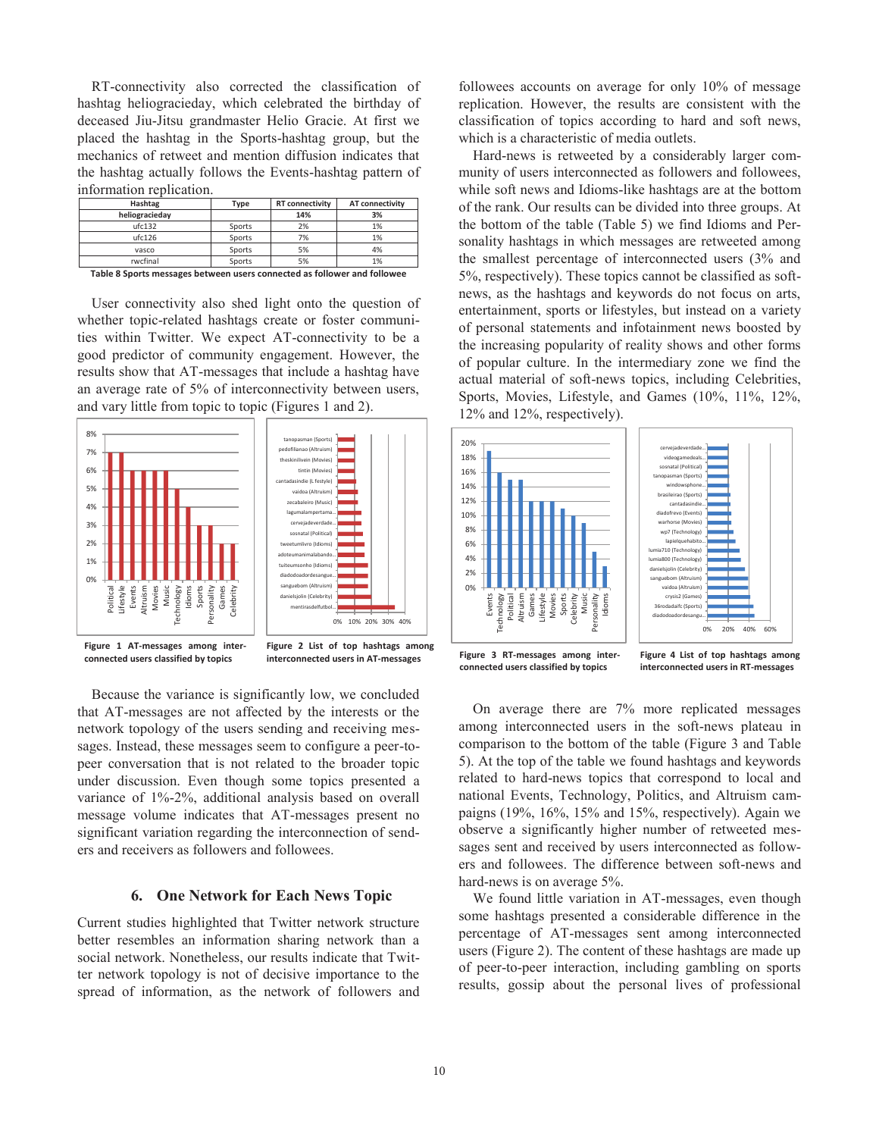RT-connectivity also corrected the classification of hashtag heliogracieday, which celebrated the birthday of deceased Jiu-Jitsu grandmaster Helio Gracie. At first we placed the hashtag in the Sports-hashtag group, but the mechanics of retweet and mention diffusion indicates that the hashtag actually follows the Events-hashtag pattern of information replication.

| Type   | <b>RT</b> connectivity | AT connectivity |
|--------|------------------------|-----------------|
|        | 14%                    | 3%              |
| Sports | 2%                     | 1%              |
| Sports | 7%                     | 1%              |
| Sports | 5%                     | 4%              |
| Sports | 5%                     | 1%              |
|        |                        |                 |

**Table 8 Sports messages between users connected as follower and followee** 

 User connectivity also shed light onto the question of whether topic-related hashtags create or foster communities within Twitter. We expect AT-connectivity to be a good predictor of community engagement. However, the results show that AT-messages that include a hashtag have an average rate of 5% of interconnectivity between users, and vary little from topic to topic (Figures 1 and 2).



**connected users classified by topics** 

 Because the variance is significantly low, we concluded that AT-messages are not affected by the interests or the network topology of the users sending and receiving messages. Instead, these messages seem to configure a peer-topeer conversation that is not related to the broader topic under discussion. Even though some topics presented a variance of 1%-2%, additional analysis based on overall message volume indicates that AT-messages present no significant variation regarding the interconnection of senders and receivers as followers and followees.

## **6. One Network for Each News Topic**

Current studies highlighted that Twitter network structure better resembles an information sharing network than a social network. Nonetheless, our results indicate that Twitter network topology is not of decisive importance to the spread of information, as the network of followers and

followees accounts on average for only 10% of message replication. However, the results are consistent with the classification of topics according to hard and soft news, which is a characteristic of media outlets.

 Hard-news is retweeted by a considerably larger community of users interconnected as followers and followees, while soft news and Idioms-like hashtags are at the bottom of the rank. Our results can be divided into three groups. At the bottom of the table (Table 5) we find Idioms and Personality hashtags in which messages are retweeted among the smallest percentage of interconnected users (3% and 5%, respectively). These topics cannot be classified as softnews, as the hashtags and keywords do not focus on arts, entertainment, sports or lifestyles, but instead on a variety of personal statements and infotainment news boosted by the increasing popularity of reality shows and other forms of popular culture. In the intermediary zone we find the actual material of soft-news topics, including Celebrities, Sports, Movies, Lifestyle, and Games (10%, 11%, 12%, 12% and 12%, respectively).





**Figure 4 List of top hashtags among interconnected users in RT-messages** 

 On average there are 7% more replicated messages among interconnected users in the soft-news plateau in comparison to the bottom of the table (Figure 3 and Table 5). At the top of the table we found hashtags and keywords related to hard-news topics that correspond to local and national Events, Technology, Politics, and Altruism campaigns (19%, 16%, 15% and 15%, respectively). Again we observe a significantly higher number of retweeted messages sent and received by users interconnected as followers and followees. The difference between soft-news and hard-news is on average 5%.

 We found little variation in AT-messages, even though some hashtags presented a considerable difference in the percentage of AT-messages sent among interconnected users (Figure 2). The content of these hashtags are made up of peer-to-peer interaction, including gambling on sports results, gossip about the personal lives of professional

**interconnected users in AT-messages Figure 3 RT-messages among inter-**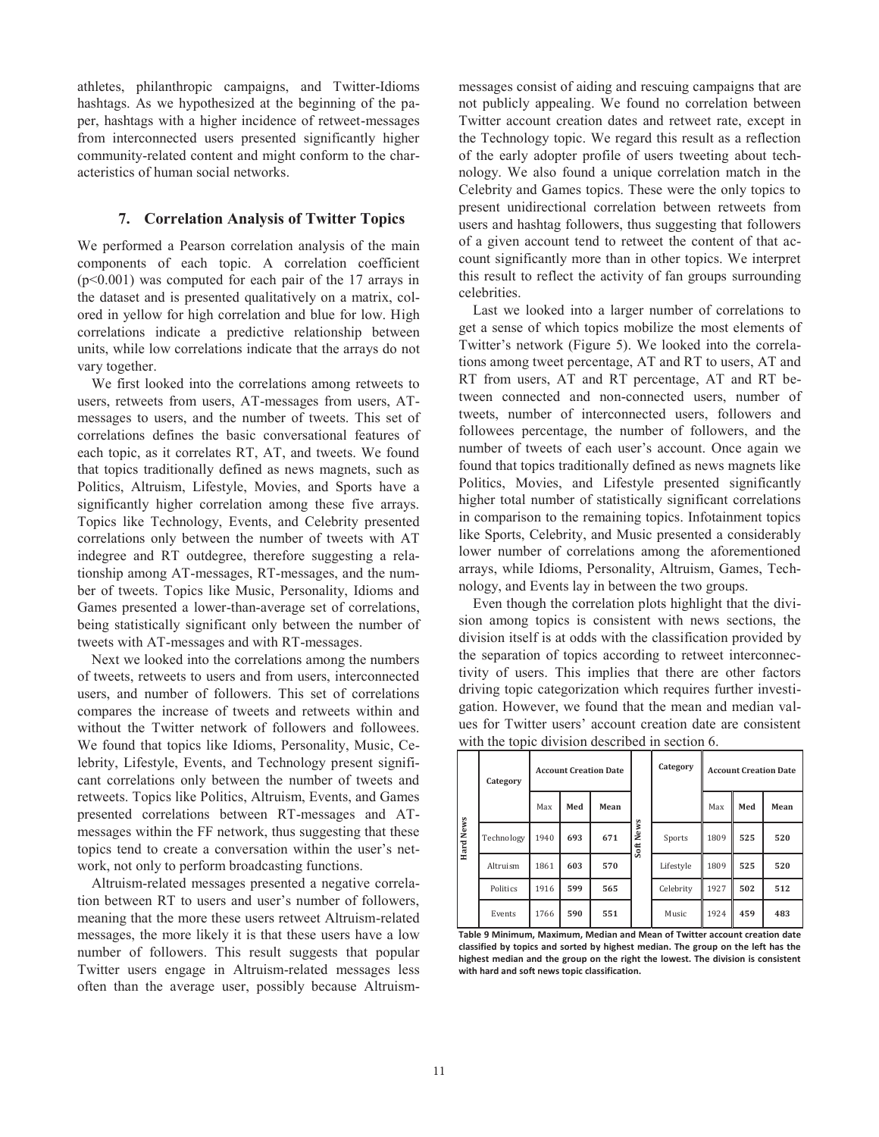athletes, philanthropic campaigns, and Twitter-Idioms hashtags. As we hypothesized at the beginning of the paper, hashtags with a higher incidence of retweet-messages from interconnected users presented significantly higher community-related content and might conform to the characteristics of human social networks.

## **7. Correlation Analysis of Twitter Topics**

We performed a Pearson correlation analysis of the main components of each topic. A correlation coefficient (p<0.001) was computed for each pair of the 17 arrays in the dataset and is presented qualitatively on a matrix, colored in yellow for high correlation and blue for low. High correlations indicate a predictive relationship between units, while low correlations indicate that the arrays do not vary together.

 We first looked into the correlations among retweets to users, retweets from users, AT-messages from users, ATmessages to users, and the number of tweets. This set of correlations defines the basic conversational features of each topic, as it correlates RT, AT, and tweets. We found that topics traditionally defined as news magnets, such as Politics, Altruism, Lifestyle, Movies, and Sports have a significantly higher correlation among these five arrays. Topics like Technology, Events, and Celebrity presented correlations only between the number of tweets with AT indegree and RT outdegree, therefore suggesting a relationship among AT-messages, RT-messages, and the number of tweets. Topics like Music, Personality, Idioms and Games presented a lower-than-average set of correlations, being statistically significant only between the number of tweets with AT-messages and with RT-messages.

 Next we looked into the correlations among the numbers of tweets, retweets to users and from users, interconnected users, and number of followers. This set of correlations compares the increase of tweets and retweets within and without the Twitter network of followers and followees. We found that topics like Idioms, Personality, Music, Celebrity, Lifestyle, Events, and Technology present significant correlations only between the number of tweets and retweets. Topics like Politics, Altruism, Events, and Games presented correlations between RT-messages and ATmessages within the FF network, thus suggesting that these topics tend to create a conversation within the user's network, not only to perform broadcasting functions.

 Altruism-related messages presented a negative correlation between RT to users and user's number of followers, meaning that the more these users retweet Altruism-related messages, the more likely it is that these users have a low number of followers. This result suggests that popular Twitter users engage in Altruism-related messages less often than the average user, possibly because Altruism-

messages consist of aiding and rescuing campaigns that are not publicly appealing. We found no correlation between Twitter account creation dates and retweet rate, except in the Technology topic. We regard this result as a reflection of the early adopter profile of users tweeting about technology. We also found a unique correlation match in the Celebrity and Games topics. These were the only topics to present unidirectional correlation between retweets from users and hashtag followers, thus suggesting that followers of a given account tend to retweet the content of that account significantly more than in other topics. We interpret this result to reflect the activity of fan groups surrounding celebrities.

 Last we looked into a larger number of correlations to get a sense of which topics mobilize the most elements of Twitter's network (Figure 5). We looked into the correlations among tweet percentage, AT and RT to users, AT and RT from users, AT and RT percentage, AT and RT between connected and non-connected users, number of tweets, number of interconnected users, followers and followees percentage, the number of followers, and the number of tweets of each user's account. Once again we found that topics traditionally defined as news magnets like Politics, Movies, and Lifestyle presented significantly higher total number of statistically significant correlations in comparison to the remaining topics. Infotainment topics like Sports, Celebrity, and Music presented a considerably lower number of correlations among the aforementioned arrays, while Idioms, Personality, Altruism, Games, Technology, and Events lay in between the two groups.

 Even though the correlation plots highlight that the division among topics is consistent with news sections, the division itself is at odds with the classification provided by the separation of topics according to retweet interconnectivity of users. This implies that there are other factors driving topic categorization which requires further investigation. However, we found that the mean and median values for Twitter users' account creation date are consistent with the topic division described in section 6.

| <b>Hard News</b> | Category   | <b>Account Creation Date</b> |     |      | Category  | <b>Account Creation Date</b> |      |     |      |
|------------------|------------|------------------------------|-----|------|-----------|------------------------------|------|-----|------|
|                  |            | Max                          | Med | Mean | Soft News |                              | Max  | Med | Mean |
|                  | Technology | 1940                         | 693 | 671  |           | Sports                       | 1809 | 525 | 520  |
|                  | Altruism   | 1861                         | 603 | 570  |           | Lifestyle                    | 1809 | 525 | 520  |
|                  | Politics   | 1916                         | 599 | 565  |           | Celebrity                    | 1927 | 502 | 512  |
|                  | Events     | 1766                         | 590 | 551  |           | Music                        | 1924 | 459 | 483  |

**Table 9 Minimum, Maximum, Median and Mean of Twitter account creation date classified by topics and sorted by highest median. The group on the left has the highest median and the group on the right the lowest. The division is consistent with hard and soft news topic classification.**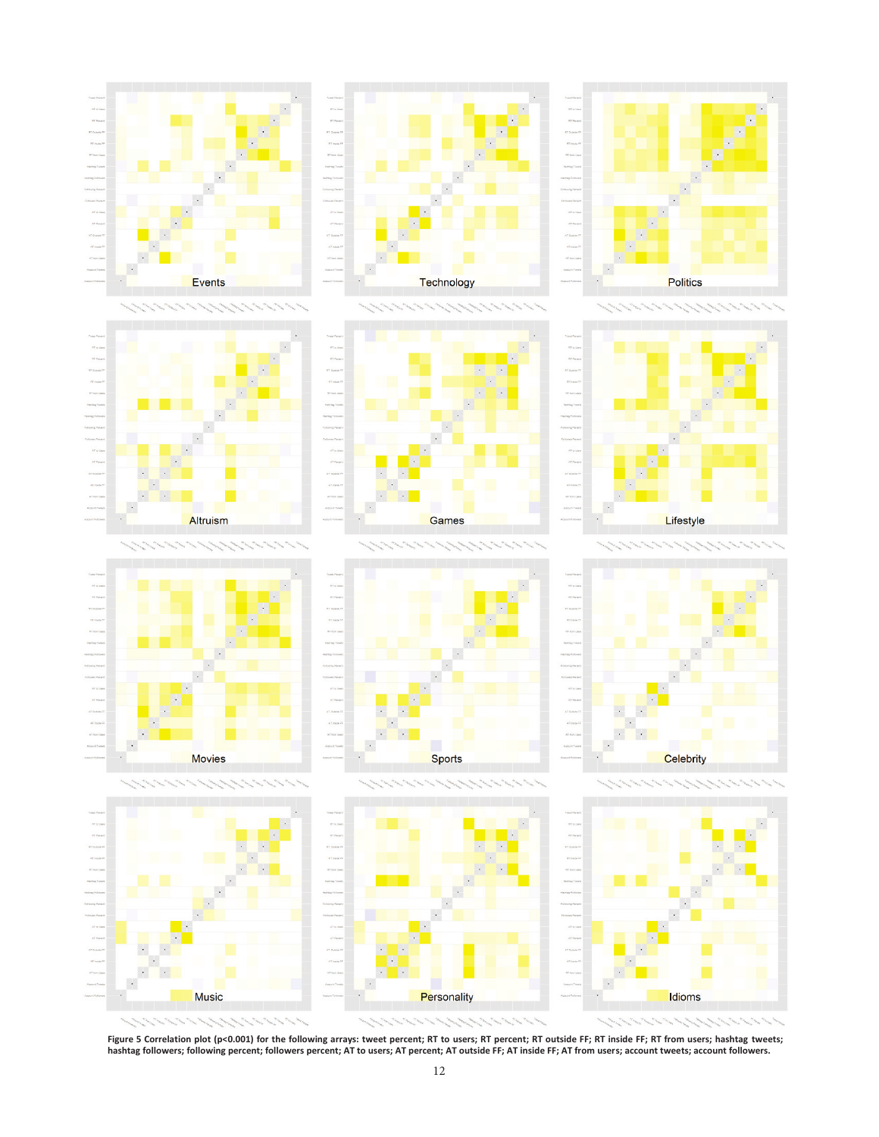





Games

Technology



















**Figure 5 Correlation plot (p<0.001) for the following arrays: tweet percent; RT to users; RT percent; RT outside FF; RT inside FF; RT from users; hashtag tweets; hashtag followers; following percent; followers percent; AT to users; AT percent; AT outside FF; AT inside FF; AT from users; account tweets; account followers.**